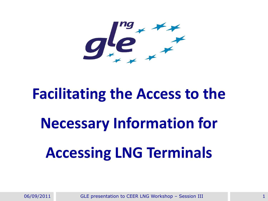

#### **Facilitating the Access to the**

## **Necessary Information for Accessing LNG Terminals**

06/09/2011 GLE presentation to CEER LNG Workshop - Session III GENERRY STATES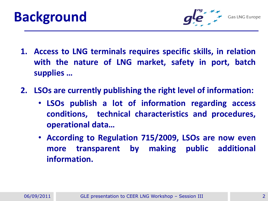



**Gas LNG Europe** 

- **1. Access to LNG terminals requires specific skills, in relation with the nature of LNG market, safety in port, batch supplies …**
- **2. LSOs are currently publishing the right level of information:**
	- **LSOs publish a lot of information regarding access conditions, technical characteristics and procedures, operational data…**
	- **According to Regulation 715/2009, LSOs are now even more transparent by making public additional information.**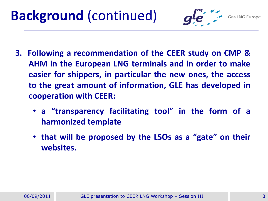

**Gas LNG Europe** 

- **3. Following a recommendation of the CEER study on CMP & AHM in the European LNG terminals and in order to make easier for shippers, in particular the new ones, the access to the great amount of information, GLE has developed in cooperation with CEER:**
	- **a "transparency facilitating tool" in the form of a harmonized template**
	- **that will be proposed by the LSOs as a "gate" on their websites.**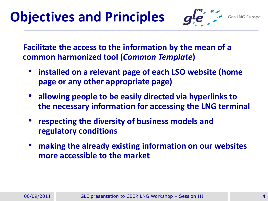#### **Objectives and Principles**

**Gas LNG Europe** 

**Facilitate the access to the information by the mean of a common harmonized tool (***Common Template***)**

- **installed on a relevant page of each LSO website (home page or any other appropriate page)**
- **allowing people to be easily directed via hyperlinks to the necessary information for accessing the LNG terminal**
- **respecting the diversity of business models and regulatory conditions**
- **making the already existing information on our websites more accessible to the market**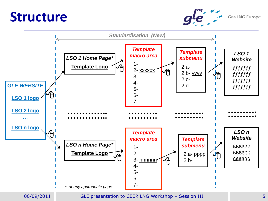#### **Structure**



**Gas LNG Europe** 



GLE 5 06/09/2011 GLE presentation to CEER LNG Workshop – Session III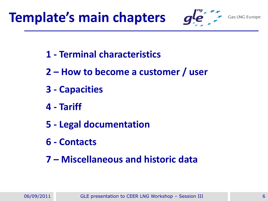



**Gas LNG Europe** 

- **1 - Terminal characteristics**
- **2 – How to become a customer / user**
- **3 - Capacities**
- **4 - Tariff**
- **5 - Legal documentation**
- **6 - Contacts**
- **7 – Miscellaneous and historic data**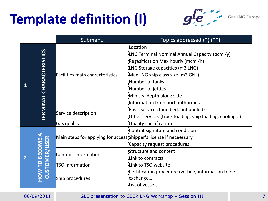### **Template definition (I)**



**Gas LNG Europe** 

|                |                                         | Submenu                                                                                  | Topics addressed $(*)$ $(**)$                                                                                                                                                                                                                 |
|----------------|-----------------------------------------|------------------------------------------------------------------------------------------|-----------------------------------------------------------------------------------------------------------------------------------------------------------------------------------------------------------------------------------------------|
|                | <b>TERMINAL CHARACTERISTICS</b>         | Facilities main characteristics                                                          | Location<br>LNG Terminal Nominal Annual Capacity (bcm $(y)$ )<br>Regasification Max hourly (mcm/h)<br>LNG Storage capacities (m3 LNG)<br>Max LNG ship class size (m3 GNL)<br>Number of tanks<br>Number of jetties<br>Min sea depth along side |
|                |                                         | Service description                                                                      | Information from port authorities<br>Basic services (bundled, unbundled)<br>Other services (truck loading, ship loading, cooling)                                                                                                             |
| $\overline{2}$ | <b>HOW TO BECOME A</b><br>CUSTOMER/USER | <b>Gas quality</b><br>Main steps for applying for access Shipper's license if neceessary | Quality specification<br>Contrat signature and condition<br>Capacity request procedures                                                                                                                                                       |
|                |                                         | Contract information                                                                     | <b>Structure and content</b><br>Link to contracts                                                                                                                                                                                             |
|                |                                         | <b>TSO</b> information                                                                   | Link to TSO website                                                                                                                                                                                                                           |
|                |                                         | Ship procedures                                                                          | Certification procedure (vetting, information to be<br>exchange)<br>List of vessels                                                                                                                                                           |

#### GLE 7 06/09/2011 GLE presentation to CEER LNG Workshop – Session III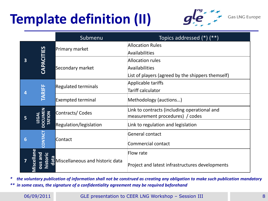## **Template definition (II)**



**Gas LNG Europe** 

|   |                                 | Submenu                         | Topics addressed $(*)$ $(**)$                     |
|---|---------------------------------|---------------------------------|---------------------------------------------------|
| 3 | CAPACITIES                      | Primary market                  | <b>Allocation Rules</b>                           |
|   |                                 |                                 | Availabilities                                    |
|   |                                 | Secondary market                | Allocation rules                                  |
|   |                                 |                                 | Availabilities                                    |
|   |                                 |                                 | List of players (agreed by the shippers themself) |
| 4 | <b>TARIFF</b>                   | <b>Regulated terminals</b>      | Applicable tariffs                                |
|   |                                 |                                 | Tariff calculator                                 |
|   |                                 | <b>Exempted terminal</b>        | Methodology (auctions)                            |
| 5 | <b>OCUMEN</b><br>TATION<br>EGAL | Contracts/Codes                 | Link to contracts (including operational and      |
|   |                                 |                                 | measurement procedures) / codes                   |
|   |                                 | Regulation/legislation          | Link to regulation and legislation                |
| 6 |                                 |                                 | General contact                                   |
|   | <b>ATMOC</b>                    | Contact                         | Commercial contact                                |
|   | scellan<br>istor<br>$\ddot{a}$  | Miscellaneous and historic data | Flow rate                                         |
|   |                                 |                                 | Project and latest infrastructures developments   |

the voluntary publication of information shall not be construed as creating any obligation to make such publication mandatory *\*\* in some cases, the signature of a confidentiality agreement may be required beforehand*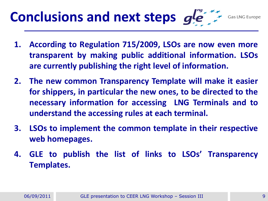#### **Conclusions and next steps**  $g e^{i\theta}$

- **1. According to Regulation 715/2009, LSOs are now even more transparent by making public additional information. LSOs are currently publishing the right level of information.**
- **2. The new common Transparency Template will make it easier for shippers, in particular the new ones, to be directed to the necessary information for accessing LNG Terminals and to understand the accessing rules at each terminal.**
- **3. LSOs to implement the common template in their respective web homepages.**
- **4. GLE to publish the list of links to LSOs' Transparency Templates.**

GLE 9 06/09/2011 GLE presentation to CEER LNG Workshop – Session III